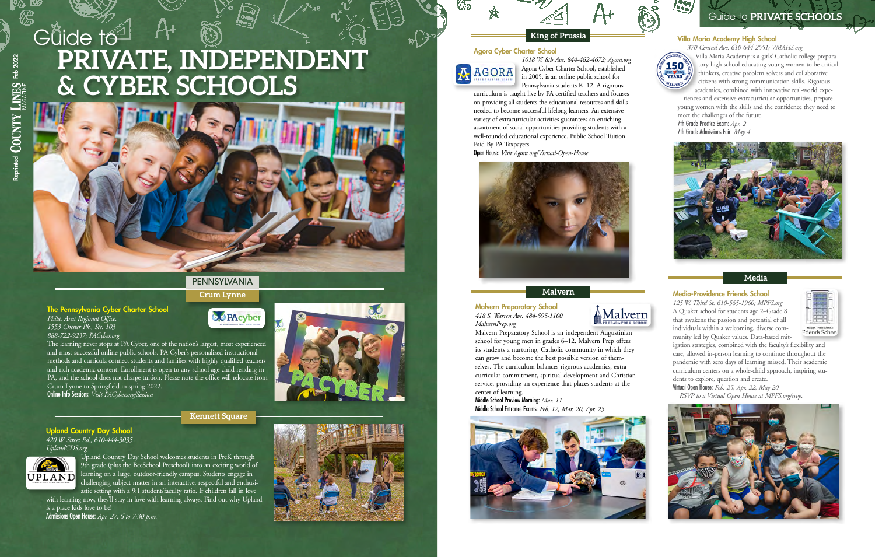#### Villa Maria Academy High School

*370 Central Ave. 610-644-2551; VMAHS.org*



Villa Maria Academy is a girls' Catholic college preparatory high school educating young women to be critical thinkers, creative problem solvers and collaborative citizens with strong communication skills. Rigorous academics, combined with innovative real-world expe-

riences and extensive extracurricular opportunities, prepare young women with the skills and the confidence they need to meet the challenges of the future. 7th Grade Practice Exam: *Apr. 2* 7th Grade Admissions Fair: *May 4*



**Malvern**

## **King of Prussia**

#### **Media**

#### Media-Providence Friends School

*125 W. Third St. 610-565-1960; [MPFS.org](http://MPFS.org)* A Quaker school for students age 2–Grade 8 that awakens the passion and potential of all individuals within a welcoming, diverse community led by Quaker values. Data-based mit-



igation strategies, combined with the faculty's flexibility and care, allowed in-person learning to continue throughout the pandemic with zero days of learning missed. Their academic curriculum centers on a whole-child approach, inspiring students to explore, question and create.

Virtual Open House: *Feb. 25, Apr. 22, May 20 RSVP to a Virtual Open House at [MPFS.org/rsvp.](http://MPFS.org/rsvp)*



#### Agora Cyber Charter School

# **PRIVATE, INDEPENDENT & CYBER SCHOOLS** Guide to





*1018 W. 8th Ave. 844-462-4672; [Agora.org](http://Agora.org)* Agora Cyber Charter School, established in 2005, is an online public school for Pennsylvania students K–12. A rigorous

with learning now, they'll stay in love with learning always. Find out why Upland is a place kids love to be!

curriculum is taught live by PA-certified teachers and focuses on providing all students the educational resources and skills needed to become successful lifelong learners. An extensive variety of extracurricular activities guarantees an enriching assortment of social opportunities providing students with a well-rounded educational experience. Public School Tuition Paid By PA Taxpayers

Open House: *Visit [Agora.org/Virtual-Open-House](http://Agora.org/Virtual-Open-House)*



Malvern Preparatory School *418 S. Warren Ave. 484-595-1100 [MalvernPrep.org](http://MalvernPrep.org)*



Malvern Preparatory School is an independent Augustinian school for young men in grades 6–12. Malvern Prep offers its students a nurturing, Catholic community in which they can grow and become the best possible version of themselves. The curriculum balances rigorous academics, extracurricular commitment, spiritual development and Christian service, providing an experience that places students at the center of learning.

Middle School Preview Morning: *Mar. 11* Middle School Entrance Exams: *Feb. 12, Mar. 20, Apr. 23*





Guide to **PRIVATE SCHOOLS**

### **Kennett Square**

Upland Country Day School *420 W. Street Rd., 610-444-3035 [UplandCDS.org](http://UplandCDS.org)*



Reprinted  $\begin{bmatrix} 1 \\ 0 \end{bmatrix}$   $\begin{bmatrix} 1 \\ 1 \end{bmatrix}$   $\begin{bmatrix} 1 \\ 1 \end{bmatrix}$   $\begin{bmatrix} 1 \\ 1 \end{bmatrix}$   $\begin{bmatrix} 1 \\ 1 \end{bmatrix}$   $\begin{bmatrix} 1 \\ 1 \end{bmatrix}$   $\begin{bmatrix} 1 \\ 1 \end{bmatrix}$   $\begin{bmatrix} 1 \\ 1 \end{bmatrix}$   $\begin{bmatrix} 1 \\ 1 \end{bmatrix}$   $\begin{bmatrix} 1 \\ 1 \end{bmatrix}$   $\begin{bmatrix} 2 \\$ 

 $\operatorname{COUNTY}$  LINES Feb 2022

Upland Country Day School welcomes students in PreK through 9th grade (plus the BeeSchool Preschool) into an exciting world of learning on a large, outdoor-friendly campus. Students engage in challenging subject matter in an interactive, respectful and enthusiastic setting with a 9:1 student/faculty ratio. If children fall in love

Admissions Open House: *Apr. 27, 6 to 7:30 p.m.*



The Pennsylvania Cyber Charter School

*Phila. Area Regional Office, 1553 Chester Pk., Ste. 103 888-722-9237; PACyber.org*

The learning never stops at PA Cyber, one of the nation's largest, most experienced and most successful online public schools. PA Cyber's personalized instructional methods and curricula connect students and families with highly qualified teachers and rich academic content. Enrollment is open to any school-age child residing in PA, and the school does not charge tuition. Please note the office will relocate from Crum Lynne to Springfield in spring 2022. Online Info Sessions: *Visit [PACyber.org/Session](http://PACyber.org/Session)*



# PENNSYLVANIA

**OO** PAcyber

**Crum Lynne**